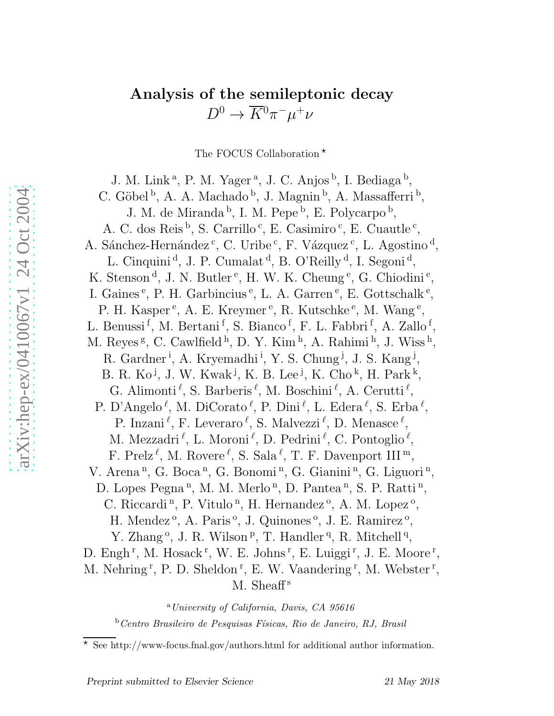# Analysis of the semileptonic decay  $D^0 \to \overline{K}{}^0 \pi^- \mu^+ \nu$

The FOCUS Collaboration  $^\star$ 

J. M. Link<sup>a</sup>, P. M. Yager<sup>a</sup>, J. C. Anjos<sup>b</sup>, I. Bediaga<sup>b</sup>, C. Göbel<sup>b</sup>, A. A. Machado<sup>b</sup>, J. Magnin<sup>b</sup>, A. Massafferri<sup>b</sup>, J. M. de Miranda<sup>b</sup>, I. M. Pepe<sup>b</sup>, E. Polycarpo<sup>b</sup>, A. C. dos Reis<sup>b</sup>, S. Carrillo<sup>c</sup>, E. Casimiro<sup>c</sup>, E. Cuautle<sup>c</sup>, A. Sánchez-Hernández<sup>c</sup>, C. Uribe<sup>c</sup>, F. Vázquez<sup>c</sup>, L. Agostino<sup>d</sup>, L. Cinquini<sup>d</sup>, J. P. Cumalat<sup>d</sup>, B. O'Reilly<sup>d</sup>, I. Segoni<sup>d</sup>, K. Stenson<sup>d</sup>, J. N. Butler<sup>e</sup>, H. W. K. Cheung<sup>e</sup>, G. Chiodini<sup>e</sup>, I. Gaines<sup>e</sup>, P. H. Garbincius<sup>e</sup>, L. A. Garren<sup>e</sup>, E. Gottschalk<sup>e</sup>, P. H. Kasper<sup>e</sup>, A. E. Kreymer<sup>e</sup>, R. Kutschke<sup>e</sup>, M. Wang<sup>e</sup>, L. Benussi<sup>f</sup>, M. Bertani<sup>f</sup>, S. Bianco<sup>f</sup>, F. L. Fabbri<sup>f</sup>, A. Zallo<sup>f</sup> , M. Reyes<sup>g</sup>, C. Cawlfield<sup>h</sup>, D. Y. Kim<sup>h</sup>, A. Rahimi<sup>h</sup>, J. Wiss<sup>h</sup>, R. Gardner<sup>i</sup>, A. Kryemadhi<sup>i</sup>, Y. S. Chung<sup>j</sup>, J. S. Kang<sup>j</sup>, B. R. Ko<sup>j</sup>, J. W. Kwak<sup>j</sup>, K. B. Lee<sup>j</sup>, K. Cho<sup>k</sup>, H. Park<sup>k</sup>, G. Alimonti<sup> $\ell$ </sup>, S. Barberis<sup> $\ell$ </sup>, M. Boschini<sup> $\ell$ </sup>, A. Cerutti<sup> $\ell$ </sup>, P. D'Angelo<sup> $\ell$ </sup>, M. DiCorato<sup> $\ell$ </sup>, P. Dini<sup> $\ell$ </sup>, L. Edera $\ell$ , S. Erba $\ell$ , P. Inzani<sup> $\ell$ </sup>, F. Leveraro<sup> $\ell$ </sup>, S. Malvezzi<sup> $\ell$ </sup>, D. Menasce<sup> $\ell$ </sup>, M. Mezzadri<sup> $\ell$ </sup>, L. Moroni<sup> $\ell$ </sup>, D. Pedrini<sup> $\ell$ </sup>, C. Pontoglio<sup> $\ell$ </sup> , F. Prelz<sup> $\ell$ </sup>, M. Rovere<sup> $\ell$ </sup>, S. Sala $\ell$ , T. F. Davenport III<sup>m</sup>, V. Arena<sup>n</sup>, G. Boca<sup>n</sup>, G. Bonomi<sup>n</sup>, G. Gianini<sup>n</sup>, G. Liguori<sup>n</sup>, D. Lopes Pegna<sup>n</sup>, M. M. Merlo<sup>n</sup>, D. Pantea<sup>n</sup>, S. P. Ratti<sup>n</sup>, C. Riccardi<sup>n</sup>, P. Vitulo<sup>n</sup>, H. Hernandez<sup>o</sup>, A. M. Lopez<sup>o</sup>, H. Mendez<sup>o</sup>, A. Paris<sup>o</sup>, J. Quinones<sup>o</sup>, J. E. Ramirez<sup>o</sup>, Y. Zhang<sup>o</sup>, J. R. Wilson<sup>p</sup>, T. Handler<sup>q</sup>, R. Mitchell<sup>q</sup>, D. Engh<sup>r</sup>, M. Hosack<sup>r</sup>, W. E. Johns<sup>r</sup>, E. Luiggi<sup>r</sup>, J. E. Moore<sup>r</sup>, M. Nehring<sup>r</sup>, P. D. Sheldon<sup>r</sup>, E. W. Vaandering<sup>r</sup>, M. Webster<sup>r</sup>, M. Sheaff<sup>s</sup>

<sup>a</sup>University of California, Davis, CA 95616

 $b$ Centro Brasileiro de Pesquisas Físicas, Rio de Janeiro, RJ, Brasil

See http://www-focus.fnal.gov/authors.html for additional author information.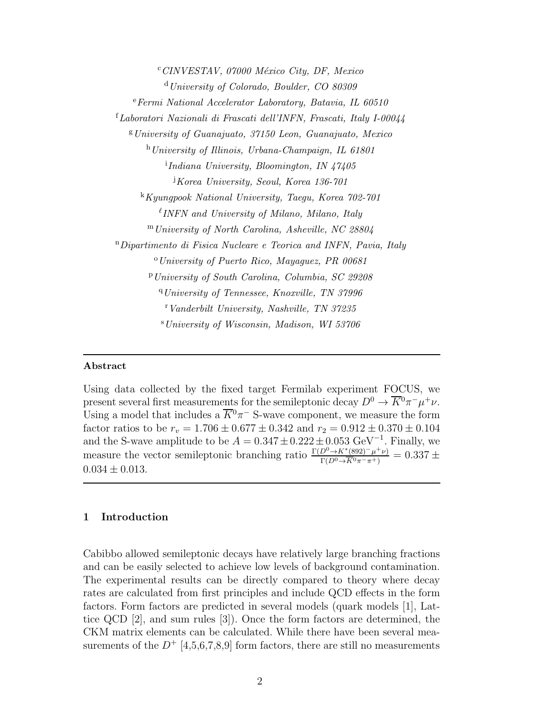$c$ CINVESTAV, 07000 México City, DF, Mexico <sup>d</sup>University of Colorado, Boulder, CO 80309  $e<sup>e</sup> Fermi National Accelerator Laboratory, Batavia, IL 60510$ <sup>f</sup>Laboratori Nazionali di Frascati dell'INFN, Frascati, Italy I-00044 <sup>g</sup>University of Guanajuato, 37150 Leon, Guanajuato, Mexico  $h$  University of Illinois, Urbana-Champaign, IL 61801 i Indiana University, Bloomington, IN 47405 <sup>j</sup>Korea University, Seoul, Korea 136-701  $k$ Kyungpook National University, Taequ, Korea  $702-701$  $\ell$ INFN and University of Milano, Milano, Italy <sup>m</sup>University of North Carolina, Asheville, NC 28804  $n$ Dipartimento di Fisica Nucleare e Teorica and INFN, Pavia, Italy  $\degree$ University of Puerto Rico, Mayaquez, PR 00681 <sup>p</sup>University of South Carolina, Columbia, SC 29208 <sup>q</sup>University of Tennessee, Knoxville, TN 37996 <sup>r</sup>Vanderbilt University, Nashville, TN 37235 <sup>s</sup>University of Wisconsin, Madison, WI 53706

#### Abstract

Using data collected by the fixed target Fermilab experiment FOCUS, we present several first measurements for the semileptonic decay  $D^0 \to \overline{K}{}^0 \pi^- \mu^+ \nu$ . Using a model that includes a  $\overline{K}{}^0\pi^-$  S-wave component, we measure the form factor ratios to be  $r_v = 1.706 \pm 0.677 \pm 0.342$  and  $r_2 = 0.912 \pm 0.370 \pm 0.104$ and the S-wave amplitude to be  $A = 0.347 \pm 0.222 \pm 0.053$  GeV<sup>-1</sup>. Finally, we measure the vector semileptonic branching ratio  $\frac{\Gamma(D^0 \to K^*(892)^- \mu^+ \nu)}{\Gamma(D^0 \to \overline{K}^0 \pi^- \pi^+)} = 0.337 \pm$  $0.034 \pm 0.013$ .

#### 1 Introduction

Cabibbo allowed semileptonic decays have relatively large branching fractions and can be easily selected to achieve low levels of background contamination. The experimental results can be directly compared to theory where decay rates are calculated from first principles and include QCD effects in the form factors. Form factors are predicted in several models (quark models [1], Lattice QCD [2], and sum rules [3]). Once the form factors are determined, the CKM matrix elements can be calculated. While there have been several measurements of the  $D^+$  [4,5,6,7,8,9] form factors, there are still no measurements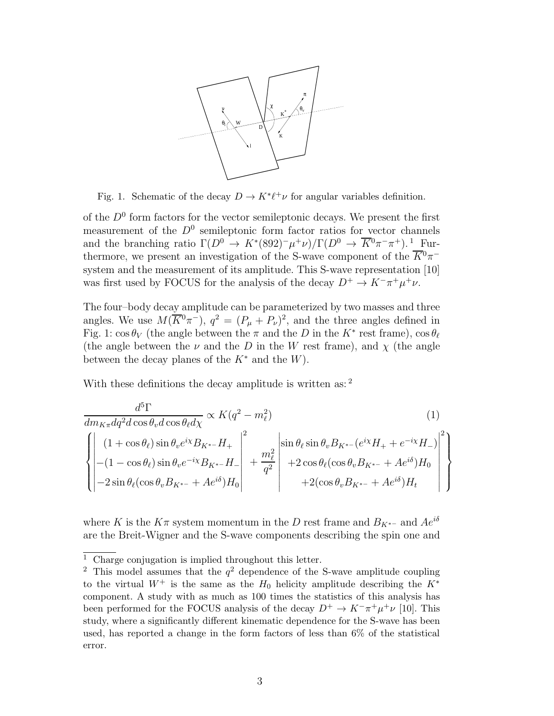

Fig. 1. Schematic of the decay  $D \to K^* \ell^+ \nu$  for angular variables definition.

of the  $D^0$  form factors for the vector semileptonic decays. We present the first measurement of the  $D^0$  semileptonic form factor ratios for vector channels and the branching ratio  $\Gamma(D^0 \to K^*(892)^-\mu^+\nu)/\Gamma(D^0 \to \overline{K}^0\pi^-\pi^+).$  Furthermore, we present an investigation of the S-wave component of the  $\overline{K}{}^0 \pi^$ system and the measurement of its amplitude. This S-wave representation [10] was first used by FOCUS for the analysis of the decay  $D^+ \to K^-\pi^+\mu^+\nu$ .

The four–body decay amplitude can be parameterized by two masses and three angles. We use  $M(\overline{K}^0 \pi^-)$ ,  $q^2 = (P_\mu + P_\nu)^2$ , and the three angles defined in Fig. 1:  $\cos \theta_V$  (the angle between the  $\pi$  and the D in the K<sup>\*</sup> rest frame),  $\cos \theta_\ell$ (the angle between the  $\nu$  and the D in the W rest frame), and  $\chi$  (the angle between the decay planes of the  $K^*$  and the W).

With these definitions the decay amplitude is written as: <sup>2</sup>

$$
\frac{d^5 \Gamma}{dm_{K\pi} dq^2 d \cos \theta_v d \cos \theta_{\ell} d\chi} \propto K(q^2 - m_{\ell}^2)
$$
\n
$$
\left\{ \begin{vmatrix}\n(1 + \cos \theta_{\ell}) \sin \theta_v e^{i\chi} B_{K^* - H_+} \\
-(1 - \cos \theta_{\ell}) \sin \theta_v e^{-i\chi} B_{K^* - H_-} \\
-2 \sin \theta_{\ell} (\cos \theta_v B_{K^* -} + A e^{i\delta}) H_0\n\end{vmatrix}^2 + \frac{m_{\ell}^2}{q^2} \begin{vmatrix}\n\sin \theta_{\ell} \sin \theta_v B_{K^* -} (e^{i\chi} H_+ + e^{-i\chi} H_-) \\
+ 2 \cos \theta_{\ell} (\cos \theta_v B_{K^* -} + A e^{i\delta}) H_0 \\
+ 2 (\cos \theta_v B_{K^* -} + A e^{i\delta}) H_t\n\end{vmatrix}^2 \right\}
$$
\n(1)

where K is the K $\pi$  system momentum in the D rest frame and  $B_{K^{*-}}$  and  $Ae^{i\delta}$ are the Breit-Wigner and the S-wave components describing the spin one and

<sup>&</sup>lt;sup>1</sup> Charge conjugation is implied throughout this letter.

<sup>&</sup>lt;sup>2</sup> This model assumes that the  $q^2$  dependence of the S-wave amplitude coupling to the virtual  $W^+$  is the same as the  $H_0$  helicity amplitude describing the  $K^*$ component. A study with as much as 100 times the statistics of this analysis has been performed for the FOCUS analysis of the decay  $D^+ \to K^-\pi^+\mu^+\nu$  [10]. This study, where a significantly different kinematic dependence for the S-wave has been used, has reported a change in the form factors of less than 6% of the statistical error.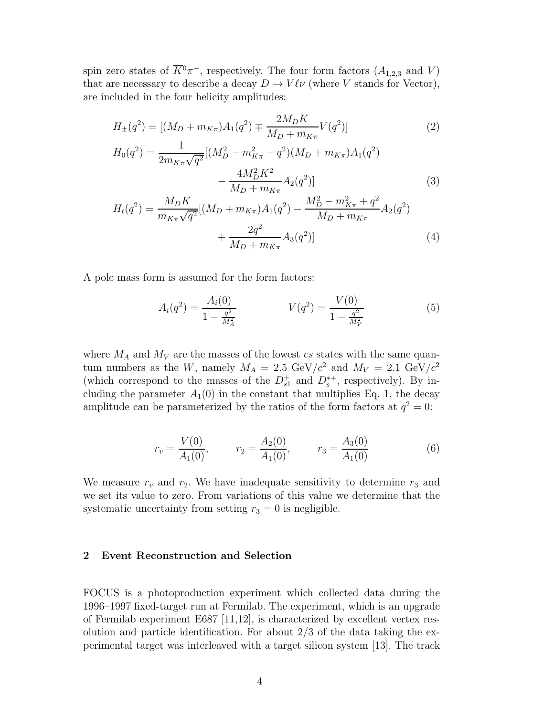spin zero states of  $\overline{K}{}^0\pi^-$ , respectively. The four form factors  $(A_{1,2,3}$  and V) that are necessary to describe a decay  $D \to V \ell \nu$  (where V stands for Vector), are included in the four helicity amplitudes:

$$
H_{\pm}(q^{2}) = [(M_{D} + m_{K\pi})A_{1}(q^{2}) \mp \frac{2M_{D}K}{M_{D} + m_{K\pi}}V(q^{2})]
$$
\n
$$
H_{0}(q^{2}) = \frac{1}{2m_{K\pi}\sqrt{q^{2}}}[(M_{D}^{2} - m_{K\pi}^{2} - q^{2})(M_{D} + m_{K\pi})A_{1}(q^{2}) - \frac{4M_{D}^{2}K^{2}}{M_{D} + m_{K\pi}}A_{2}(q^{2})]
$$
\n(3)

$$
H_t(q^2) = \frac{M_D K}{m_{K\pi}\sqrt{q^2}} [(M_D + m_{K\pi})A_1(q^2) - \frac{M_D^2 - m_{K\pi}^2 + q^2}{M_D + m_{K\pi}}A_2(q^2) + \frac{2q^2}{M_D + m_{K\pi}}A_3(q^2)]
$$
\n(4)

A pole mass form is assumed for the form factors:

$$
A_i(q^2) = \frac{A_i(0)}{1 - \frac{q^2}{M_A^2}} \qquad V(q^2) = \frac{V(0)}{1 - \frac{q^2}{M_V^2}} \tag{5}
$$

where  $M_A$  and  $M_V$  are the masses of the lowest  $c\overline{s}$  states with the same quantum numbers as the W, namely  $M_A = 2.5 \text{ GeV}/c^2$  and  $M_V = 2.1 \text{ GeV}/c^2$ (which correspond to the masses of the  $D_{s_1}^+$  and  $D_s^{*+}$ , respectively). By including the parameter  $A_1(0)$  in the constant that multiplies Eq. 1, the decay amplitude can be parameterized by the ratios of the form factors at  $q^2 = 0$ :

$$
r_v = \frac{V(0)}{A_1(0)}, \qquad r_2 = \frac{A_2(0)}{A_1(0)}, \qquad r_3 = \frac{A_3(0)}{A_1(0)} \tag{6}
$$

We measure  $r_v$  and  $r_2$ . We have inadequate sensitivity to determine  $r_3$  and we set its value to zero. From variations of this value we determine that the systematic uncertainty from setting  $r_3 = 0$  is negligible.

#### 2 Event Reconstruction and Selection

FOCUS is a photoproduction experiment which collected data during the 1996–1997 fixed-target run at Fermilab. The experiment, which is an upgrade of Fermilab experiment E687 [11,12], is characterized by excellent vertex resolution and particle identification. For about  $2/3$  of the data taking the experimental target was interleaved with a target silicon system [13]. The track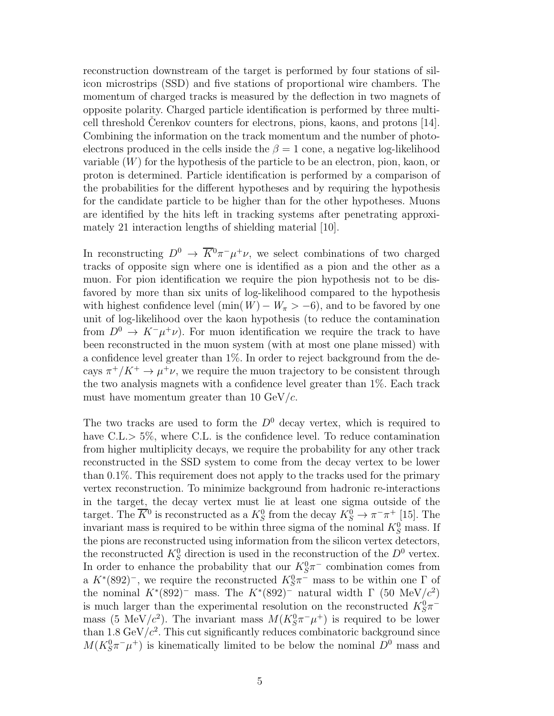reconstruction downstream of the target is performed by four stations of silicon microstrips (SSD) and five stations of proportional wire chambers. The momentum of charged tracks is measured by the deflection in two magnets of opposite polarity. Charged particle identification is performed by three multicell threshold Cerenkov counters for electrons, pions, kaons, and protons  $[14]$ . Combining the information on the track momentum and the number of photoelectrons produced in the cells inside the  $\beta = 1$  cone, a negative log-likelihood variable  $(W)$  for the hypothesis of the particle to be an electron, pion, kaon, or proton is determined. Particle identification is performed by a comparison of the probabilities for the different hypotheses and by requiring the hypothesis for the candidate particle to be higher than for the other hypotheses. Muons are identified by the hits left in tracking systems after penetrating approximately 21 interaction lengths of shielding material [10].

In reconstructing  $D^0 \to \overline{K}{}^0 \pi^- \mu^+ \nu$ , we select combinations of two charged tracks of opposite sign where one is identified as a pion and the other as a muon. For pion identification we require the pion hypothesis not to be disfavored by more than six units of log-likelihood compared to the hypothesis with highest confidence level  $(\min(W) - W_\pi > -6)$ , and to be favored by one unit of log-likelihood over the kaon hypothesis (to reduce the contamination from  $D^0 \to K^-\mu^+\nu$ ). For muon identification we require the track to have been reconstructed in the muon system (with at most one plane missed) with a confidence level greater than 1%. In order to reject background from the decays  $\pi^+/K^+ \to \mu^+\nu$ , we require the muon trajectory to be consistent through the two analysis magnets with a confidence level greater than 1%. Each track must have momentum greater than 10  $GeV/c$ .

The two tracks are used to form the  $D^0$  decay vertex, which is required to have  $C.L.$   $>$  5%, where C.L. is the confidence level. To reduce contamination from higher multiplicity decays, we require the probability for any other track reconstructed in the SSD system to come from the decay vertex to be lower than 0.1%. This requirement does not apply to the tracks used for the primary vertex reconstruction. To minimize background from hadronic re-interactions in the target, the decay vertex must lie at least one sigma outside of the target. The  $\overline{K}^0$  is reconstructed as a  $K_S^0$  from the decay  $K_S^0 \to \pi^- \pi^+$  [15]. The invariant mass is required to be within three sigma of the nominal  $K_S^0$  mass. If the pions are reconstructed using information from the silicon vertex detectors, the reconstructed  $K_S^0$  direction is used in the reconstruction of the  $D^0$  vertex. In order to enhance the probability that our  $K_S^0 \pi^-$  combination comes from a  $K^*(892)^-$ , we require the reconstructed  $K^0_S \pi^-$  mass to be within one  $\Gamma$  of the nominal  $K^*(892)^-$  mass. The  $K^*(892)^-$  natural width  $\Gamma$  (50 MeV/ $c^2$ ) is much larger than the experimental resolution on the reconstructed  $K_S^0 \pi^$ mass (5 MeV/ $c^2$ ). The invariant mass  $M(K_S^0 \pi^- \mu^+)$  is required to be lower than 1.8 GeV/ $c^2$ . This cut significantly reduces combinatoric background since  $M(K_S^0 \pi^- \mu^+)$  is kinematically limited to be below the nominal  $D^0$  mass and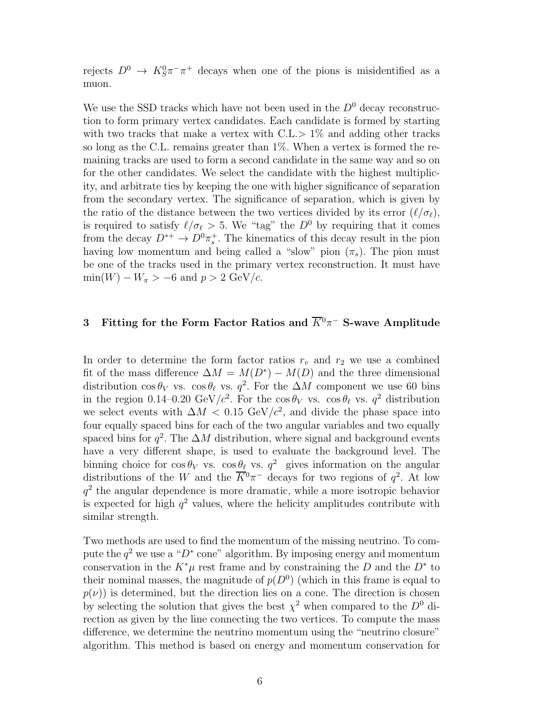rejects  $D^0 \to K_S^0 \pi^- \pi^+$  decays when one of the pions is misidentified as a muon.

We use the SSD tracks which have not been used in the  $D^0$  decay reconstruction to form primary vertex candidates. Each candidate is formed by starting with two tracks that make a vertex with  $C.L.> 1\%$  and adding other tracks so long as the C.L. remains greater than 1%. When a vertex is formed the remaining tracks are used to form a second candidate in the same way and so on for the other candidates. We select the candidate with the highest multiplicity, and arbitrate ties by keeping the one with higher significance of separation from the secondary vertex. The significance of separation, which is given by the ratio of the distance between the two vertices divided by its error  $(\ell/\sigma_{\ell}),$ is required to satisfy  $\ell/\sigma_{\ell} > 5$ . We "tag" the  $D^{0}$  by requiring that it comes from the decay  $D^{*+} \to D^0 \pi_s^+$ . The kinematics of this decay result in the pion having low momentum and being called a "slow" pion  $(\pi_s)$ . The pion must be one of the tracks used in the primary vertex reconstruction. It must have  $min(W) - W_{\pi} > -6$  and  $p > 2$  GeV/c.

### 3 Fitting for the Form Factor Ratios and  $\overline{K}{}^0\pi^-$  S-wave Amplitude

In order to determine the form factor ratios  $r_v$  and  $r_2$  we use a combined fit of the mass difference  $\Delta M = M(D^*) - M(D)$  and the three dimensional distribution  $\cos \theta_V$  vs.  $\cos \theta_\ell$  vs.  $q^2$ . For the  $\Delta M$  component we use 60 bins in the region 0.14–0.20 GeV/ $c^2$ . For the  $\cos \theta_V$  vs.  $\cos \theta_\ell$  vs.  $q^2$  distribution we select events with  $\Delta M < 0.15$  GeV/ $c^2$ , and divide the phase space into four equally spaced bins for each of the two angular variables and two equally spaced bins for  $q^2$ . The  $\Delta M$  distribution, where signal and background events have a very different shape, is used to evaluate the background level. The binning choice for  $\cos \theta_V$  vs.  $\cos \theta_\ell$  vs.  $q^2$  gives information on the angular distributions of the W and the  $\overline{K}{}^0\pi^-$  decays for two regions of  $q^2$ . At low  $q<sup>2</sup>$  the angular dependence is more dramatic, while a more isotropic behavior is expected for high  $q^2$  values, where the helicity amplitudes contribute with similar strength.

Two methods are used to find the momentum of the missing neutrino. To compute the  $q^2$  we use a "D<sup>\*</sup> cone" algorithm. By imposing energy and momentum conservation in the  $K^*\mu$  rest frame and by constraining the D and the  $D^*$  to their nominal masses, the magnitude of  $p(D^0)$  (which in this frame is equal to  $p(\nu)$  is determined, but the direction lies on a cone. The direction is chosen by selecting the solution that gives the best  $\chi^2$  when compared to the  $D^0$  direction as given by the line connecting the two vertices. To compute the mass difference, we determine the neutrino momentum using the "neutrino closure" algorithm. This method is based on energy and momentum conservation for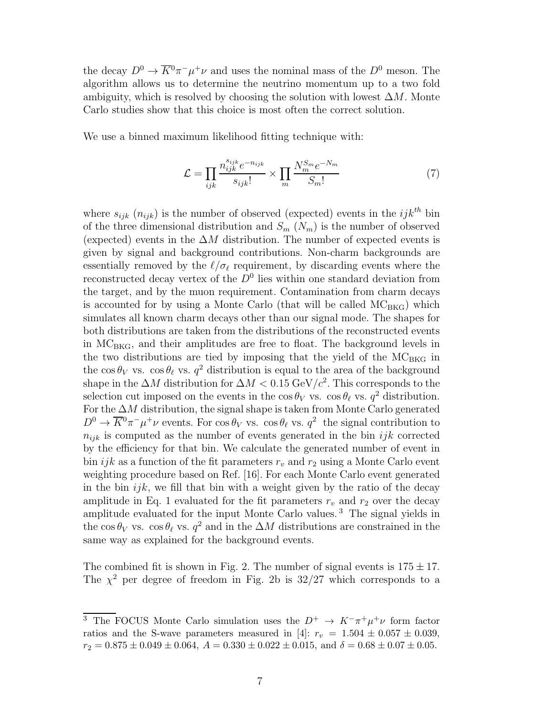the decay  $D^0 \to \overline{K}{}^0 \pi^- \mu^+ \nu$  and uses the nominal mass of the  $D^0$  meson. The algorithm allows us to determine the neutrino momentum up to a two fold ambiguity, which is resolved by choosing the solution with lowest  $\Delta M$ . Monte Carlo studies show that this choice is most often the correct solution.

We use a binned maximum likelihood fitting technique with:

$$
\mathcal{L} = \prod_{ijk} \frac{n_{ijk}^{s_{ijk}} e^{-n_{ijk}}}{s_{ijk}!} \times \prod_{m} \frac{N_m^{S_m} e^{-N_m}}{S_m!}
$$
(7)

where  $s_{ijk}$   $(n_{ijk})$  is the number of observed (expected) events in the  $ijk^{th}$  bin of the three dimensional distribution and  $S_m$   $(N_m)$  is the number of observed (expected) events in the  $\Delta M$  distribution. The number of expected events is given by signal and background contributions. Non-charm backgrounds are essentially removed by the  $\ell/\sigma_{\ell}$  requirement, by discarding events where the reconstructed decay vertex of the  $D^0$  lies within one standard deviation from the target, and by the muon requirement. Contamination from charm decays is accounted for by using a Monte Carlo (that will be called  $MC_{BKG}$ ) which simulates all known charm decays other than our signal mode. The shapes for both distributions are taken from the distributions of the reconstructed events in  $MC_{BKG}$ , and their amplitudes are free to float. The background levels in the two distributions are tied by imposing that the yield of the  $MC_{BKG}$  in the  $\cos \theta_V$  vs.  $\cos \theta_\ell$  vs.  $q^2$  distribution is equal to the area of the background shape in the  $\Delta M$  distribution for  $\Delta M < 0.15 \,\mathrm{GeV}/c^2$ . This corresponds to the selection cut imposed on the events in the  $\cos \theta_V$  vs.  $\cos \theta_\ell$  vs.  $q^2$  distribution. For the  $\Delta M$  distribution, the signal shape is taken from Monte Carlo generated  $D^0 \to \overline{K}{}^0 \pi^- \mu^+ \nu$  events. For  $\cos \theta_V$  vs.  $\cos \theta_\ell$  vs.  $q^2$  the signal contribution to  $n_{ijk}$  is computed as the number of events generated in the bin ijk corrected by the efficiency for that bin. We calculate the generated number of event in bin ijk as a function of the fit parameters  $r_v$  and  $r_2$  using a Monte Carlo event weighting procedure based on Ref. [16]. For each Monte Carlo event generated in the bin  $ijk$ , we fill that bin with a weight given by the ratio of the decay amplitude in Eq. 1 evaluated for the fit parameters  $r_v$  and  $r_2$  over the decay amplitude evaluated for the input Monte Carlo values. <sup>3</sup> The signal yields in the cos  $\theta_V$  vs. cos  $\theta_\ell$  vs.  $q^2$  and in the  $\Delta M$  distributions are constrained in the same way as explained for the background events.

The combined fit is shown in Fig. 2. The number of signal events is  $175 \pm 17$ . The  $\chi^2$  per degree of freedom in Fig. 2b is 32/27 which corresponds to a

<sup>&</sup>lt;sup>3</sup> The FOCUS Monte Carlo simulation uses the  $D^+ \rightarrow K^-\pi^+\mu^+\nu$  form factor ratios and the S-wave parameters measured in [4]:  $r_v = 1.504 \pm 0.057 \pm 0.039$ ,  $r_2 = 0.875 \pm 0.049 \pm 0.064$ ,  $A = 0.330 \pm 0.022 \pm 0.015$ , and  $\delta = 0.68 \pm 0.07 \pm 0.05$ .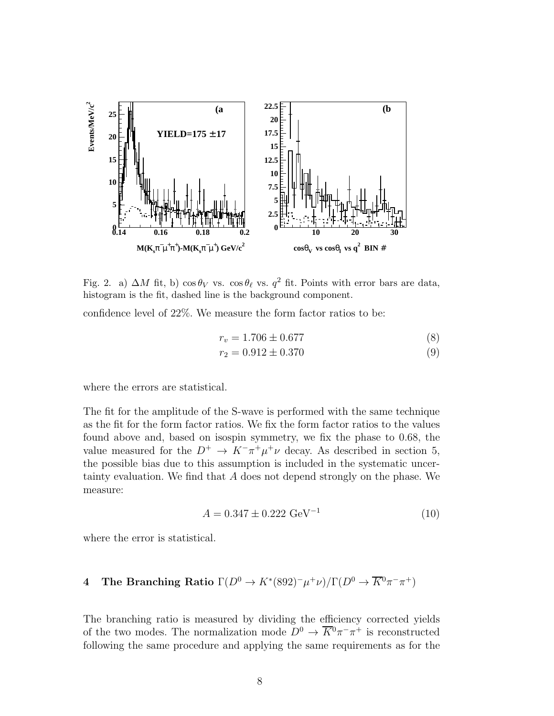

Fig. 2. a)  $\Delta M$  fit, b) cos  $\theta_V$  vs. cos  $\theta_\ell$  vs.  $q^2$  fit. Points with error bars are data, histogram is the fit, dashed line is the background component.

confidence level of 22%. We measure the form factor ratios to be:

$$
r_v = 1.706 \pm 0.677\tag{8}
$$

$$
r_2 = 0.912 \pm 0.370\tag{9}
$$

where the errors are statistical.

The fit for the amplitude of the S-wave is performed with the same technique as the fit for the form factor ratios. We fix the form factor ratios to the values found above and, based on isospin symmetry, we fix the phase to 0.68, the value measured for the  $D^+ \to K^-\pi^+\mu^+\nu$  decay. As described in section 5, the possible bias due to this assumption is included in the systematic uncertainty evaluation. We find that A does not depend strongly on the phase. We measure:

$$
A = 0.347 \pm 0.222 \text{ GeV}^{-1}
$$
 (10)

where the error is statistical.

## 4 The Branching Ratio  $\Gamma(D^0 \to K^*(892)^-\mu^+\nu)/\Gamma(D^0 \to \overline{K}{}^0\pi^-\pi^+)$

The branching ratio is measured by dividing the efficiency corrected yields of the two modes. The normalization mode  $D^0 \to \overline{K}{}^0 \pi^- \pi^+$  is reconstructed following the same procedure and applying the same requirements as for the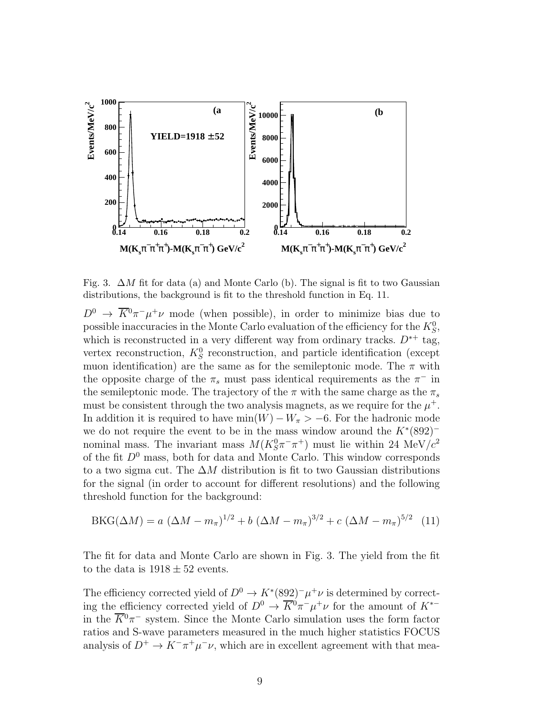

Fig. 3.  $\Delta M$  fit for data (a) and Monte Carlo (b). The signal is fit to two Gaussian distributions, the background is fit to the threshold function in Eq. 11.

 $D^0 \rightarrow \overline{K}^0 \pi^- \mu^+ \nu$  mode (when possible), in order to minimize bias due to possible inaccuracies in the Monte Carlo evaluation of the efficiency for the  $K_S^0$ , which is reconstructed in a very different way from ordinary tracks.  $D^{*+}$  tag, vertex reconstruction,  $K_S^0$  reconstruction, and particle identification (except muon identification) are the same as for the semileptonic mode. The  $\pi$  with the opposite charge of the  $\pi_s$  must pass identical requirements as the  $\pi^-$  in the semileptonic mode. The trajectory of the  $\pi$  with the same charge as the  $\pi_s$ must be consistent through the two analysis magnets, as we require for the  $\mu^+$ . In addition it is required to have  $min(W) - W_{\pi} > -6$ . For the hadronic mode we do not require the event to be in the mass window around the  $K^*(892)$ <sup>-</sup> nominal mass. The invariant mass  $M(K_S^0 \pi^- \pi^+)$  must lie within 24 MeV/ $c^2$ of the fit  $D^0$  mass, both for data and Monte Carlo. This window corresponds to a two sigma cut. The  $\Delta M$  distribution is fit to two Gaussian distributions for the signal (in order to account for different resolutions) and the following threshold function for the background:

$$
BKG(\Delta M) = a (\Delta M - m_{\pi})^{1/2} + b (\Delta M - m_{\pi})^{3/2} + c (\Delta M - m_{\pi})^{5/2} (11)
$$

The fit for data and Monte Carlo are shown in Fig. 3. The yield from the fit to the data is  $1918 \pm 52$  events.

The efficiency corrected yield of  $D^0 \to K^*(892)^-\mu^+\nu$  is determined by correcting the efficiency corrected yield of  $D^0 \to \overline{K}^0 \pi^- \mu^+ \nu$  for the amount of  $K^{*-}$ in the  $\overline{K}{}^0\pi^-$  system. Since the Monte Carlo simulation uses the form factor ratios and S-wave parameters measured in the much higher statistics FOCUS analysis of  $D^+ \to K^-\pi^+\mu^-\nu$ , which are in excellent agreement with that mea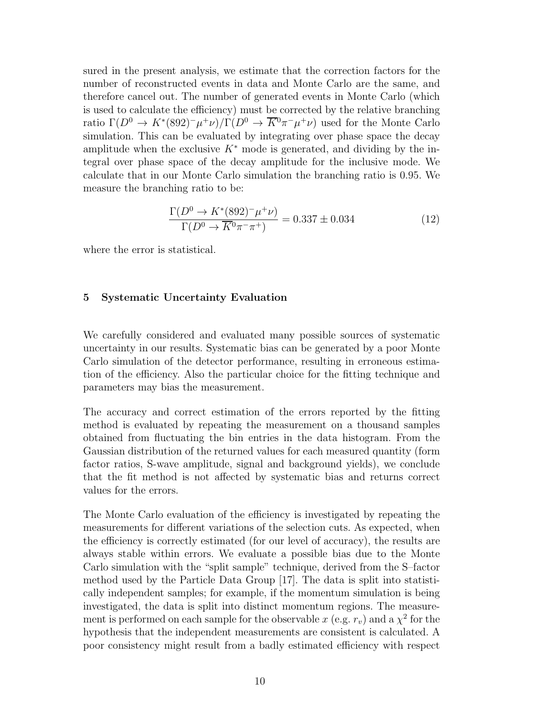sured in the present analysis, we estimate that the correction factors for the number of reconstructed events in data and Monte Carlo are the same, and therefore cancel out. The number of generated events in Monte Carlo (which is used to calculate the efficiency) must be corrected by the relative branching ratio  $\Gamma(D^0 \to K^*(892)^-\mu^+\nu)/\Gamma(D^0 \to \overline{K}^0\pi^-\mu^+\nu)$  used for the Monte Carlo simulation. This can be evaluated by integrating over phase space the decay amplitude when the exclusive  $K^*$  mode is generated, and dividing by the integral over phase space of the decay amplitude for the inclusive mode. We calculate that in our Monte Carlo simulation the branching ratio is 0.95. We measure the branching ratio to be:

$$
\frac{\Gamma(D^0 \to K^*(892)^-\mu^+\nu)}{\Gamma(D^0 \to \overline{K}{}^0\pi^-\pi^+)} = 0.337 \pm 0.034\tag{12}
$$

where the error is statistical.

#### 5 Systematic Uncertainty Evaluation

We carefully considered and evaluated many possible sources of systematic uncertainty in our results. Systematic bias can be generated by a poor Monte Carlo simulation of the detector performance, resulting in erroneous estimation of the efficiency. Also the particular choice for the fitting technique and parameters may bias the measurement.

The accuracy and correct estimation of the errors reported by the fitting method is evaluated by repeating the measurement on a thousand samples obtained from fluctuating the bin entries in the data histogram. From the Gaussian distribution of the returned values for each measured quantity (form factor ratios, S-wave amplitude, signal and background yields), we conclude that the fit method is not affected by systematic bias and returns correct values for the errors.

The Monte Carlo evaluation of the efficiency is investigated by repeating the measurements for different variations of the selection cuts. As expected, when the efficiency is correctly estimated (for our level of accuracy), the results are always stable within errors. We evaluate a possible bias due to the Monte Carlo simulation with the "split sample" technique, derived from the S–factor method used by the Particle Data Group [17]. The data is split into statistically independent samples; for example, if the momentum simulation is being investigated, the data is split into distinct momentum regions. The measurement is performed on each sample for the observable x (e.g.  $r_v$ ) and a  $\chi^2$  for the hypothesis that the independent measurements are consistent is calculated. A poor consistency might result from a badly estimated efficiency with respect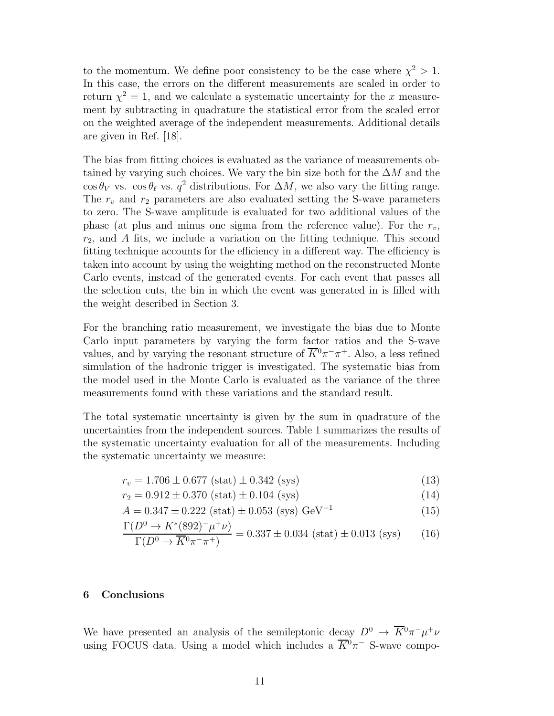to the momentum. We define poor consistency to be the case where  $\chi^2 > 1$ . In this case, the errors on the different measurements are scaled in order to return  $\chi^2 = 1$ , and we calculate a systematic uncertainty for the x measurement by subtracting in quadrature the statistical error from the scaled error on the weighted average of the independent measurements. Additional details are given in Ref. [18].

The bias from fitting choices is evaluated as the variance of measurements obtained by varying such choices. We vary the bin size both for the  $\Delta M$  and the cos  $\theta_V$  vs. cos  $\theta_\ell$  vs.  $q^2$  distributions. For  $\Delta M$ , we also vary the fitting range. The  $r_v$  and  $r_2$  parameters are also evaluated setting the S-wave parameters to zero. The S-wave amplitude is evaluated for two additional values of the phase (at plus and minus one sigma from the reference value). For the  $r_v$ ,  $r_2$ , and A fits, we include a variation on the fitting technique. This second fitting technique accounts for the efficiency in a different way. The efficiency is taken into account by using the weighting method on the reconstructed Monte Carlo events, instead of the generated events. For each event that passes all the selection cuts, the bin in which the event was generated in is filled with the weight described in Section 3.

For the branching ratio measurement, we investigate the bias due to Monte Carlo input parameters by varying the form factor ratios and the S-wave values, and by varying the resonant structure of  $\overline{K}{}^0 \pi^- \pi^+$ . Also, a less refined simulation of the hadronic trigger is investigated. The systematic bias from the model used in the Monte Carlo is evaluated as the variance of the three measurements found with these variations and the standard result.

The total systematic uncertainty is given by the sum in quadrature of the uncertainties from the independent sources. Table 1 summarizes the results of the systematic uncertainty evaluation for all of the measurements. Including the systematic uncertainty we measure:

$$
r_v = 1.706 \pm 0.677 \text{ (stat)} \pm 0.342 \text{ (sys)}\tag{13}
$$

$$
r_2 = 0.912 \pm 0.370 \text{ (stat)} \pm 0.104 \text{ (sys)}
$$
 (14)

$$
A = 0.347 \pm 0.222 \text{ (stat)} \pm 0.053 \text{ (sys)} \text{ GeV}^{-1}
$$
 (15)

$$
\frac{\Gamma(D^0 \to K^*(892)^-\mu^+\nu)}{\Gamma(D^0 \to \overline{K}{}^0\pi^-\pi^+)} = 0.337 \pm 0.034 \text{ (stat)} \pm 0.013 \text{ (sys)} \tag{16}
$$

#### 6 Conclusions

We have presented an analysis of the semileptonic decay  $D^0 \to \overline{K}{}^0 \pi^- \mu^+ \nu$ using FOCUS data. Using a model which includes a  $\overline{K}{}^0\pi^-$  S-wave compo-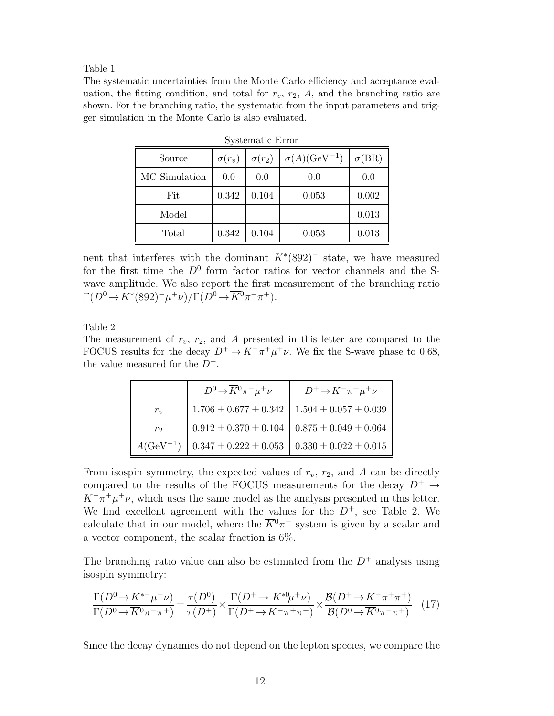#### Table 1

The systematic uncertainties from the Monte Carlo efficiency and acceptance evaluation, the fitting condition, and total for  $r_v$ ,  $r_2$ ,  $A$ , and the branching ratio are shown. For the branching ratio, the systematic from the input parameters and trigger simulation in the Monte Carlo is also evaluated.

| Systematic Error |               |               |                                  |              |  |
|------------------|---------------|---------------|----------------------------------|--------------|--|
| Source           | $\sigma(r_v)$ | $\sigma(r_2)$ | $\sigma(A)$ (GeV <sup>-1</sup> ) | $\sigma(BR)$ |  |
| MC Simulation    | 0.0           | 0.0           | 0.0                              | 0.0          |  |
| Fit              | 0.342         | 0.104         | 0.053                            | 0.002        |  |
| Model            |               |               |                                  | 0.013        |  |
| Total            | 0.342         | 0.104         | 0.053                            | 0.013        |  |

Systematic Error

nent that interferes with the dominant  $K^*(892)^-$  state, we have measured for the first time the  $D^0$  form factor ratios for vector channels and the Swave amplitude. We also report the first measurement of the branching ratio  $\Gamma(D^0 \to K^*(892)^-\mu^+\nu)/\Gamma(D^0 \to \overline{K}^0\pi^-\pi^+).$ 

Table 2

The measurement of  $r_v$ ,  $r_2$ , and  $A$  presented in this letter are compared to the FOCUS results for the decay  $D^+ \to K^-\pi^+\mu^+\nu$ . We fix the S-wave phase to 0.68, the value measured for the  $D^+$ .

|                      | $D^0 \rightarrow \overline{K}{}^0 \pi^- \mu^+ \nu$ | $D^+\rightarrow K^-\pi^+\mu^+\nu$ |
|----------------------|----------------------------------------------------|-----------------------------------|
| $r_v$                | $1.706 \pm 0.677 \pm 0.342$                        | $1.504 \pm 0.057 \pm 0.039$       |
| r <sub>2</sub>       | $0.912 \pm 0.370 \pm 0.104$                        | $0.875 \pm 0.049 \pm 0.064$       |
| $A(\text{GeV}^{-1})$ | $0.347 \pm 0.222 \pm 0.053$                        | $0.330 \pm 0.022 \pm 0.015$       |

From isospin symmetry, the expected values of  $r_v$ ,  $r_2$ , and A can be directly compared to the results of the FOCUS measurements for the decay  $D^+ \rightarrow$  $K^-\pi^+\mu^+\nu$ , which uses the same model as the analysis presented in this letter. We find excellent agreement with the values for the  $D^+$ , see Table 2. We calculate that in our model, where the  $\overline{K}{}^0\pi^-$  system is given by a scalar and a vector component, the scalar fraction is 6%.

The branching ratio value can also be estimated from the  $D^+$  analysis using isospin symmetry:

$$
\frac{\Gamma(D^0 \to K^{*-} \mu^+ \nu)}{\Gamma(D^0 \to \overline{K}^0 \pi^- \pi^+)} = \frac{\tau(D^0)}{\tau(D^+)} \times \frac{\Gamma(D^+ \to K^{*0} \mu^+ \nu)}{\Gamma(D^+ \to K^- \pi^+ \pi^+)} \times \frac{\mathcal{B}(D^+ \to K^- \pi^+ \pi^+)}{\mathcal{B}(D^0 \to \overline{K}^0 \pi^- \pi^+)} \tag{17}
$$

Since the decay dynamics do not depend on the lepton species, we compare the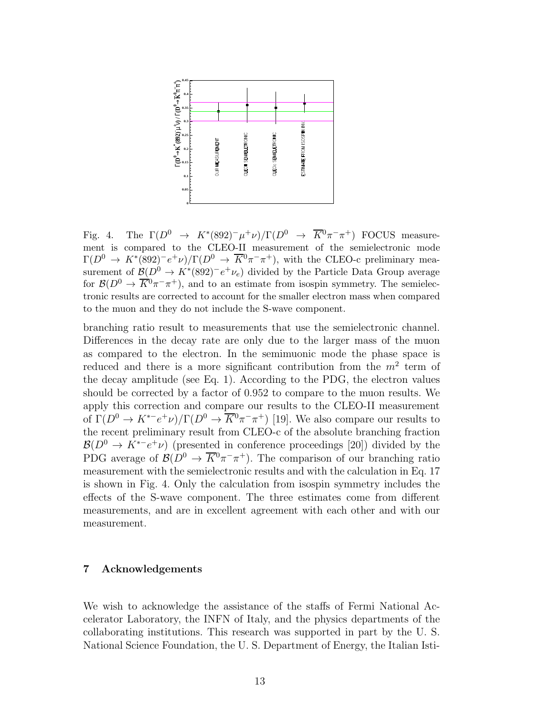

Fig. 4. The  $\Gamma(D^0 \to K^*(892)^-\mu^+\nu)/\Gamma(D^0 \to \overline{K}^0\pi^-\pi^+)$  FOCUS measurement is compared to the CLEO-II measurement of the semielectronic mode  $\Gamma(D^0 \to K^*(892)^-e^+\nu)/\Gamma(D^0 \to \overline{K}^0\pi^-\pi^+)$ , with the CLEO-c preliminary measurement of  $\underline{\mathcal{B}}(D^0 \to K^*(892)^-e^+\nu_e)$  divided by the Particle Data Group average for  $\mathcal{B}(D^0 \to \overline{K}{}^0 \pi^- \pi^+)$ , and to an estimate from isospin symmetry. The semielectronic results are corrected to account for the smaller electron mass when compared to the muon and they do not include the S-wave component.

branching ratio result to measurements that use the semielectronic channel. Differences in the decay rate are only due to the larger mass of the muon as compared to the electron. In the semimuonic mode the phase space is reduced and there is a more significant contribution from the  $m<sup>2</sup>$  term of the decay amplitude (see Eq. 1). According to the PDG, the electron values should be corrected by a factor of 0.952 to compare to the muon results. We apply this correction and compare our results to the CLEO-II measurement of  $\Gamma(D^0 \to K^{*-}e^+\nu)/\Gamma(D^0 \to \overline{K^0\pi^-\pi^+})$  [19]. We also compare our results to the recent preliminary result from CLEO-c of the absolute branching fraction  $\mathcal{B}(D^0 \to K^{*-}e^+\nu)$  (presented in conference proceedings [20]) divided by the PDG average of  $\mathcal{B}(D^0 \to \overline{K}^0 \pi^- \pi^+)$ . The comparison of our branching ratio measurement with the semielectronic results and with the calculation in Eq. 17 is shown in Fig. 4. Only the calculation from isospin symmetry includes the effects of the S-wave component. The three estimates come from different measurements, and are in excellent agreement with each other and with our measurement.

#### 7 Acknowledgements

We wish to acknowledge the assistance of the staffs of Fermi National Accelerator Laboratory, the INFN of Italy, and the physics departments of the collaborating institutions. This research was supported in part by the U. S. National Science Foundation, the U. S. Department of Energy, the Italian Isti